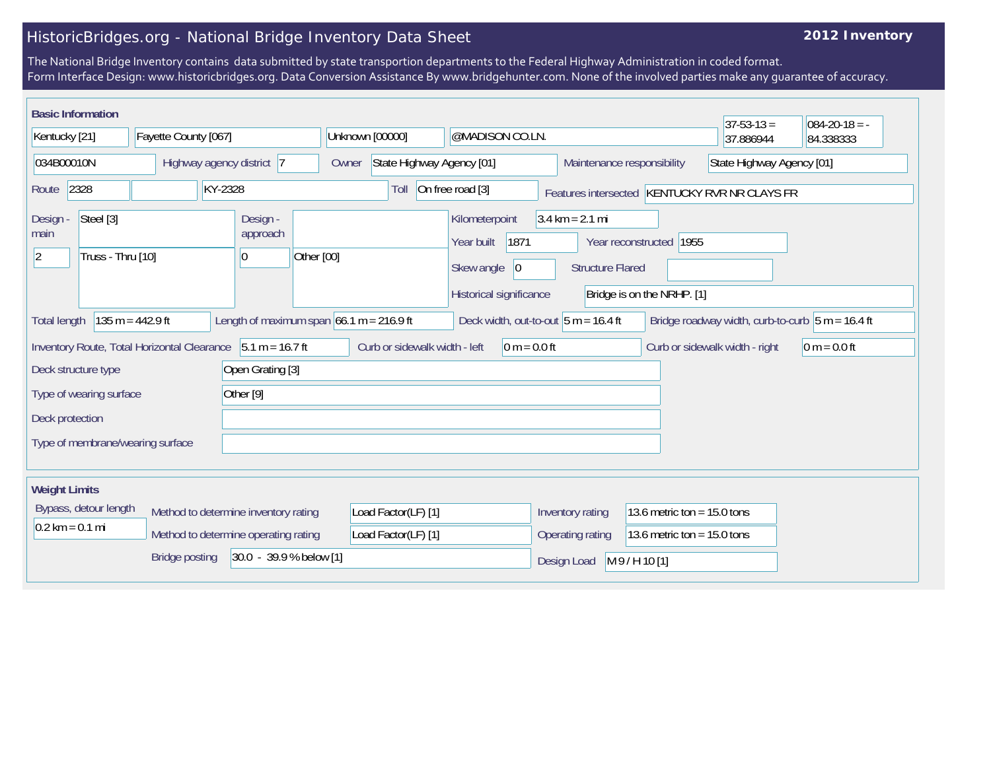## HistoricBridges.org - National Bridge Inventory Data Sheet

## **2012 Inventory**

The National Bridge Inventory contains data submitted by state transportion departments to the Federal Highway Administration in coded format. Form Interface Design: www.historicbridges.org. Data Conversion Assistance By www.bridgehunter.com. None of the involved parties make any guarantee of accuracy.

| <b>Basic Information</b>                                          |                                                             |                                          |                                            |                                                                                      |                                                              |                                                       | $37-53-13=$                                         | $ 084-20-18 = -$          |  |
|-------------------------------------------------------------------|-------------------------------------------------------------|------------------------------------------|--------------------------------------------|--------------------------------------------------------------------------------------|--------------------------------------------------------------|-------------------------------------------------------|-----------------------------------------------------|---------------------------|--|
| Kentucky [21]<br>Fayette County [067]                             |                                                             | Unknown [00000]<br>@MADISON CO.LN.       |                                            |                                                                                      |                                                              | 37.886944                                             | 84.338333                                           |                           |  |
| 034B00010N                                                        |                                                             | Highway agency district 7                | State Highway Agency [01]<br>Owner         |                                                                                      | Maintenance responsibility                                   |                                                       |                                                     | State Highway Agency [01] |  |
| KY-2328<br>2328<br>Route                                          |                                                             |                                          | Toll                                       | On free road [3]                                                                     |                                                              |                                                       | Features intersected KENTUCKY RVR NR CLAYS FR       |                           |  |
| Steel [3]<br>Design -<br>main<br>Truss - Thru [10]<br>$ 2\rangle$ |                                                             | Design -<br>approach<br>Other [00]<br> 0 |                                            | Kilometerpoint<br>1871<br>Year built<br>Skew angle<br> 0 <br>Historical significance | $3.4 \text{ km} = 2.1 \text{ mi}$<br><b>Structure Flared</b> | Year reconstructed 1955<br>Bridge is on the NRHP. [1] |                                                     |                           |  |
| <b>Total length</b>                                               | $135 m = 442.9 ft$                                          |                                          | Length of maximum span $66.1$ m = 216.9 ft | Deck width, out-to-out $5 m = 16.4 ft$                                               |                                                              |                                                       | Bridge roadway width, curb-to-curb $ 5 m = 16.4$ ft |                           |  |
|                                                                   | Inventory Route, Total Horizontal Clearance 5.1 m = 16.7 ft |                                          | Curb or sidewalk width - left              | $0 m = 0.0 ft$                                                                       |                                                              |                                                       | Curb or sidewalk width - right                      | $0 m = 0.0 ft$            |  |
| Deck structure type                                               |                                                             | Open Grating [3]                         |                                            |                                                                                      |                                                              |                                                       |                                                     |                           |  |
| Other [9]<br>Type of wearing surface                              |                                                             |                                          |                                            |                                                                                      |                                                              |                                                       |                                                     |                           |  |
| Deck protection                                                   |                                                             |                                          |                                            |                                                                                      |                                                              |                                                       |                                                     |                           |  |
| Type of membrane/wearing surface                                  |                                                             |                                          |                                            |                                                                                      |                                                              |                                                       |                                                     |                           |  |
| <b>Weight Limits</b>                                              |                                                             |                                          |                                            |                                                                                      |                                                              |                                                       |                                                     |                           |  |
| Bypass, detour length                                             |                                                             | Method to determine inventory rating     | Load Factor(LF) [1]                        |                                                                                      | Inventory rating                                             | 13.6 metric ton = $15.0$ tons                         |                                                     |                           |  |
| $0.2 \text{ km} = 0.1 \text{ mi}$                                 |                                                             | Method to determine operating rating     | Load Factor(LF) [1]                        |                                                                                      | Operating rating                                             | 13.6 metric ton = $15.0$ tons                         |                                                     |                           |  |
| $ 30.0 - 39.9 %$ below [1]<br><b>Bridge posting</b>               |                                                             |                                          |                                            |                                                                                      | Design Load                                                  | M9/H10[1]                                             |                                                     |                           |  |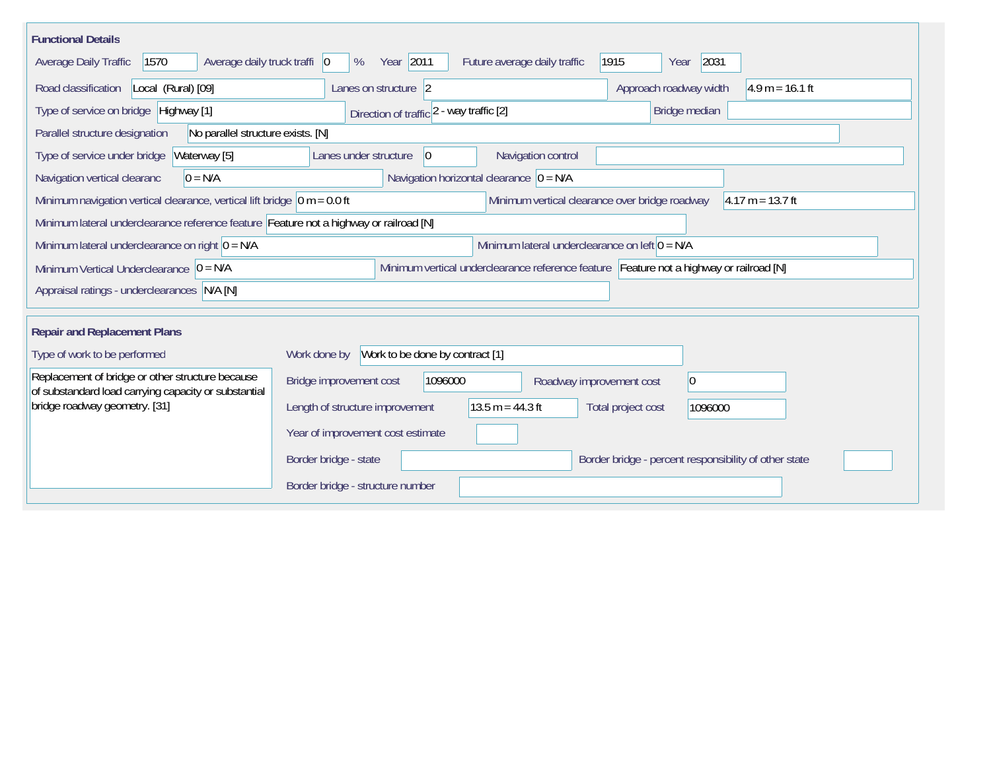| <b>Functional Details</b>                                                                                |                                                                                         |
|----------------------------------------------------------------------------------------------------------|-----------------------------------------------------------------------------------------|
| 1570<br>Average daily truck traffi   0<br>Average Daily Traffic                                          | Year 2011<br>2031<br>1915<br>%<br>Future average daily traffic<br>Year                  |
| Road classification<br>Local (Rural) [09]                                                                | Approach roadway width<br>$4.9 m = 16.1 ft$<br>Lanes on structure 2                     |
| Type of service on bridge Highway [1]                                                                    | Bridge median<br>Direction of traffic 2 - way traffic [2]                               |
| No parallel structure exists. [N]<br>Parallel structure designation                                      |                                                                                         |
| Waterway [5]<br>Type of service under bridge                                                             | Navigation control<br>Lanes under structure<br>$\overline{0}$                           |
| $0 = N/A$<br>Navigation vertical clearanc                                                                | Navigation horizontal clearance $ 0 = N/A $                                             |
| Minimum navigation vertical clearance, vertical lift bridge $\vert$ 0 m = 0.0 ft                         | Minimum vertical clearance over bridge roadway<br>$4.17 m = 13.7 ft$                    |
| Minimum lateral underclearance reference feature Feature not a highway or railroad [N]                   |                                                                                         |
| Minimum lateral underclearance on right $0 = N/A$                                                        | Minimum lateral underclearance on left $0 = N/A$                                        |
| Minimum Vertical Underclearance $ 0 = N/A$                                                               | Minimum vertical underclearance reference feature Feature not a highway or railroad [N] |
| Appraisal ratings - underclearances N/A [N]                                                              |                                                                                         |
|                                                                                                          |                                                                                         |
| <b>Repair and Replacement Plans</b>                                                                      |                                                                                         |
| Type of work to be performed                                                                             | Work to be done by contract [1]<br>Work done by                                         |
| Replacement of bridge or other structure because<br>of substandard load carrying capacity or substantial | Bridge improvement cost<br>1096000<br>$ 0\rangle$<br>Roadway improvement cost           |
| bridge roadway geometry. [31]                                                                            | $13.5 m = 44.3 ft$<br>Length of structure improvement<br>Total project cost<br>1096000  |
|                                                                                                          | Year of improvement cost estimate                                                       |
|                                                                                                          | Border bridge - state<br>Border bridge - percent responsibility of other state          |
|                                                                                                          | Border bridge - structure number                                                        |